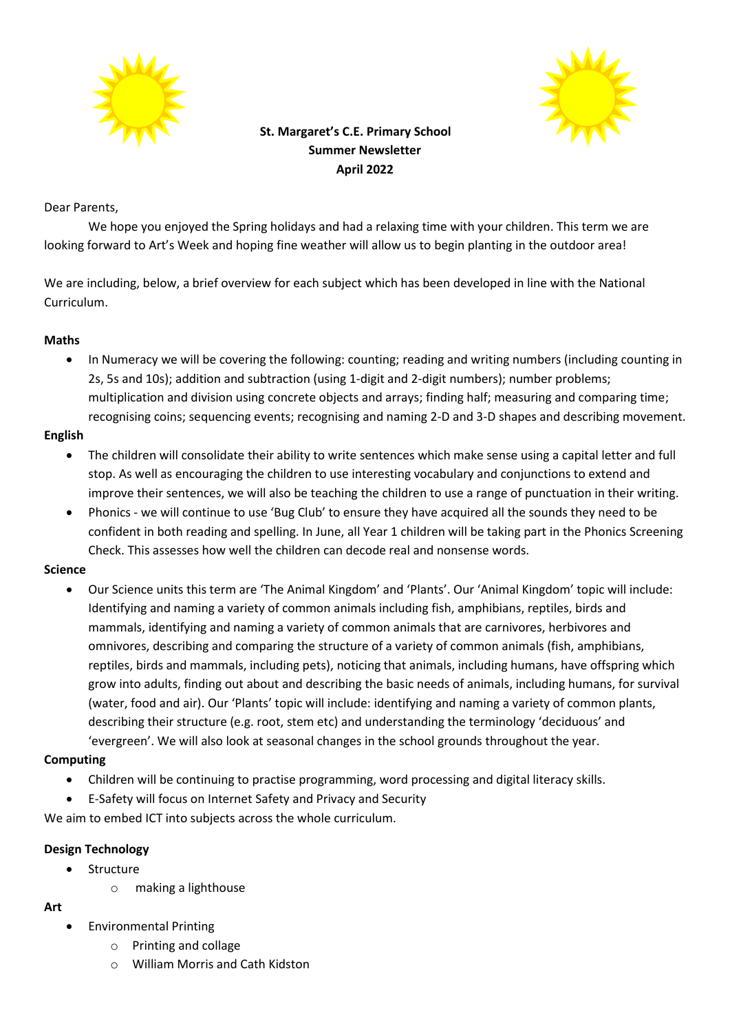



# **St. Margaret's C.E. Primary School Summer Newsletter April 2022**

### Dear Parents,

We hope you enjoyed the Spring holidays and had a relaxing time with your children. This term we are looking forward to Art's Week and hoping fine weather will allow us to begin planting in the outdoor area!

We are including, below, a brief overview for each subject which has been developed in line with the National Curriculum.

#### **Maths**

 In Numeracy we will be covering the following: counting; reading and writing numbers (including counting in 2s, 5s and 10s); addition and subtraction (using 1-digit and 2-digit numbers); number problems; multiplication and division using concrete objects and arrays; finding half; measuring and comparing time; recognising coins; sequencing events; recognising and naming 2-D and 3-D shapes and describing movement.

### **English**

- The children will consolidate their ability to write sentences which make sense using a capital letter and full stop. As well as encouraging the children to use interesting vocabulary and conjunctions to extend and improve their sentences, we will also be teaching the children to use a range of punctuation in their writing.
- Phonics we will continue to use 'Bug Club' to ensure they have acquired all the sounds they need to be confident in both reading and spelling. In June, all Year 1 children will be taking part in the Phonics Screening Check. This assesses how well the children can decode real and nonsense words.

# **Science**

 Our Science units this term are 'The Animal Kingdom' and 'Plants'. Our 'Animal Kingdom' topic will include: Identifying and naming a variety of common animals including fish, amphibians, reptiles, birds and mammals, identifying and naming a variety of common animals that are carnivores, herbivores and omnivores, describing and comparing the structure of a variety of common animals (fish, amphibians, reptiles, birds and mammals, including pets), noticing that animals, including humans, have offspring which grow into adults, finding out about and describing the basic needs of animals, including humans, for survival (water, food and air). Our 'Plants' topic will include: identifying and naming a variety of common plants, describing their structure (e.g. root, stem etc) and understanding the terminology 'deciduous' and 'evergreen'. We will also look at seasonal changes in the school grounds throughout the year.

# **Computing**

- Children will be continuing to practise programming, word processing and digital literacy skills.
- E-Safety will focus on Internet Safety and Privacy and Security

We aim to embed ICT into subjects across the whole curriculum.

#### **Design Technology**

- **•** Structure
	- o making a lighthouse

#### **Art**

- Environmental Printing
	- o Printing and collage
	- o William Morris and Cath Kidston